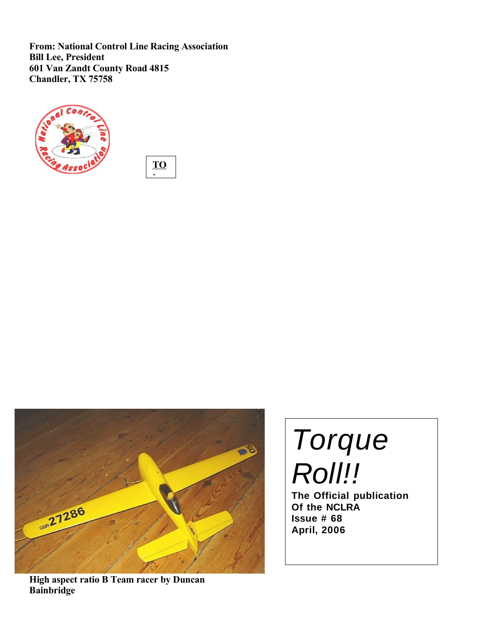**From: National Control Line Racing Association Bill Lee, President 601 Van Zandt County Road 4815 Chandler, TX 75758**







**High aspect ratio B Team racer by Duncan Bainbridge**

# Torque Roll!!

**The Official publication Of the NCLRA Issue # 68 April, 2006**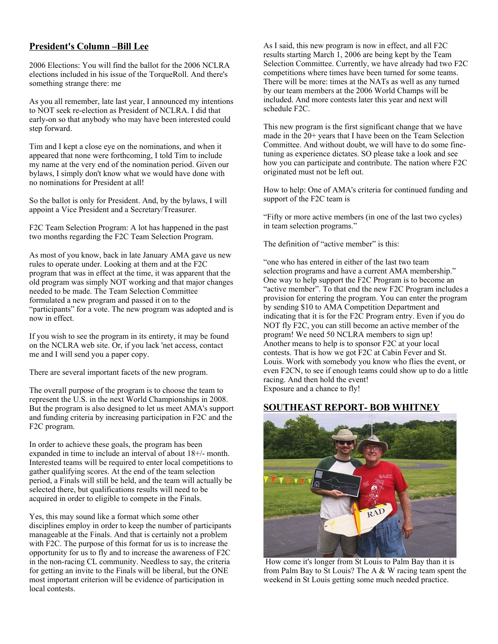# **President's Column –Bill Lee**

2006 Elections: You will find the ballot for the 2006 NCLRA elections included in his issue of the TorqueRoll. And there's something strange there: me

As you all remember, late last year, I announced my intentions to NOT seek re-election as President of NCLRA. I did that early-on so that anybody who may have been interested could step forward.

Tim and I kept a close eye on the nominations, and when it appeared that none were forthcoming, I told Tim to include my name at the very end of the nomination period. Given our bylaws, I simply don't know what we would have done with no nominations for President at all!

So the ballot is only for President. And, by the bylaws, I will appoint a Vice President and a Secretary/Treasurer.

F2C Team Selection Program: A lot has happened in the past two months regarding the F2C Team Selection Program.

As most of you know, back in late January AMA gave us new rules to operate under. Looking at them and at the F2C program that was in effect at the time, it was apparent that the old program was simply NOT working and that major changes needed to be made. The Team Selection Committee formulated a new program and passed it on to the "participants" for a vote. The new program was adopted and is now in effect.

If you wish to see the program in its entirety, it may be found on the NCLRA web site. Or, if you lack 'net access, contact me and I will send you a paper copy.

There are several important facets of the new program.

The overall purpose of the program is to choose the team to represent the U.S. in the next World Championships in 2008. But the program is also designed to let us meet AMA's support and funding criteria by increasing participation in F2C and the F2C program.

In order to achieve these goals, the program has been expanded in time to include an interval of about 18+/- month. Interested teams will be required to enter local competitions to gather qualifying scores. At the end of the team selection period, a Finals will still be held, and the team will actually be selected there, but qualifications results will need to be acquired in order to eligible to compete in the Finals.

Yes, this may sound like a format which some other disciplines employ in order to keep the number of participants manageable at the Finals. And that is certainly not a problem with F2C. The purpose of this format for us is to increase the opportunity for us to fly and to increase the awareness of F2C in the non-racing CL community. Needless to say, the criteria for getting an invite to the Finals will be liberal, but the ONE most important criterion will be evidence of participation in local contests.

As I said, this new program is now in effect, and all F2C results starting March 1, 2006 are being kept by the Team Selection Committee. Currently, we have already had two F2C competitions where times have been turned for some teams. There will be more: times at the NATs as well as any turned by our team members at the 2006 World Champs will be included. And more contests later this year and next will schedule F2C.

This new program is the first significant change that we have made in the 20+ years that I have been on the Team Selection Committee. And without doubt, we will have to do some finetuning as experience dictates. SO please take a look and see how you can participate and contribute. The nation where F2C originated must not be left out.

How to help: One of AMA's criteria for continued funding and support of the F2C team is

"Fifty or more active members (in one of the last two cycles) in team selection programs."

The definition of "active member" is this:

"one who has entered in either of the last two team selection programs and have a current AMA membership." One way to help support the F2C Program is to become an "active member". To that end the new F2C Program includes a provision for entering the program. You can enter the program by sending \$10 to AMA Competition Department and indicating that it is for the F2C Program entry. Even if you do NOT fly F2C, you can still become an active member of the program! We need 50 NCLRA members to sign up! Another means to help is to sponsor F2C at your local contests. That is how we got F2C at Cabin Fever and St. Louis. Work with somebody you know who flies the event, or even F2CN, to see if enough teams could show up to do a little racing. And then hold the event! Exposure and a chance to fly!

# **SOUTHEAST REPORT- BOB WHITNEY**



 How come it's longer from St Louis to Palm Bay than it is from Palm Bay to St Louis? The A & W racing team spent the weekend in St Louis getting some much needed practice.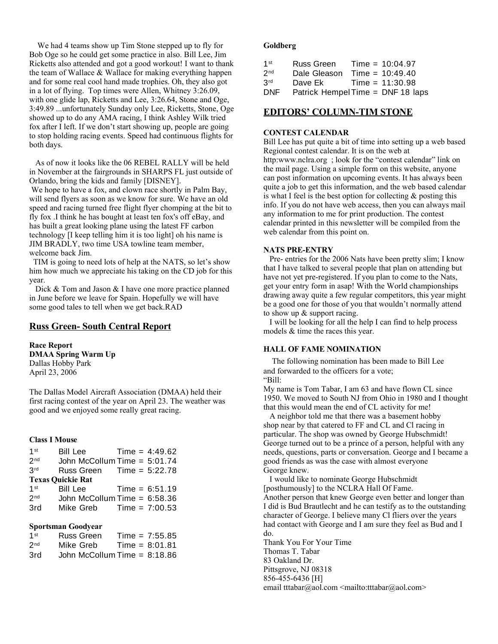We had 4 teams show up Tim Stone stepped up to fly for Bob Oge so he could get some practice in also. Bill Lee, Jim Ricketts also attended and got a good workout! I want to thank the team of Wallace & Wallace for making everything happen and for some real cool hand made trophies. Oh, they also got in a lot of flying. Top times were Allen, Whitney 3:26.09, with one glide lap, Ricketts and Lee, 3:26.64, Stone and Oge, 3:49.89 ...unfortunately Sunday only Lee, Ricketts, Stone, Oge showed up to do any AMA racing, I think Ashley Wilk tried fox after I left. If we don't start showing up, people are going to stop holding racing events. Speed had continuous flights for both days.

 As of now it looks like the 06 REBEL RALLY will be held in November at the fairgrounds in SHARPS FL just outside of Orlando, bring the kids and family [DISNEY].

 We hope to have a fox, and clown race shortly in Palm Bay, will send flyers as soon as we know for sure. We have an old speed and racing turned free flight flyer chomping at the bit to fly fox .I think he has bought at least ten fox's off eBay, and has built a great looking plane using the latest FF carbon technology [I keep telling him it is too light] oh his name is JIM BRADLY, two time USA towline team member, welcome back Jim.

 TIM is going to need lots of help at the NATS, so let's show him how much we appreciate his taking on the CD job for this year.

Dick & Tom and Jason & I have one more practice planned in June before we leave for Spain. Hopefully we will have some good tales to tell when we get back.RAD

# **Russ Green- South Central Report**

**Race Report DMAA Spring Warm Up** Dallas Hobby Park April 23, 2006

The Dallas Model Aircraft Association (DMAA) held their first racing contest of the year on April 23. The weather was good and we enjoyed some really great racing.

#### **Class I Mouse**

| 1 <sup>st</sup> | <b>Bill Lee</b>                | Time = $4:49.62$ |
|-----------------|--------------------------------|------------------|
| 2 <sub>nd</sub> | John McCollum Time $= 5:01.74$ |                  |
| 3 <sup>rd</sup> | Russ Green                     | $Time = 5:22.78$ |
|                 | <b>Texas Quickie Rat</b>       |                  |
| 1 <sup>st</sup> | Bill Lee                       | $Time = 6:51.19$ |
| 2 <sub>nd</sub> | John McCollum Time $= 6:58.36$ |                  |
| 3rd             | Mike Greb                      | $Time = 7:00.53$ |
|                 |                                |                  |

#### **Sportsman Goodyear**

| $1$ st            | Russ Green | Time = $7:55.85$             |
|-------------------|------------|------------------------------|
| $2^{\mathsf{nd}}$ | Mike Greb  | $Time = 8:01.81$             |
| 3rd               |            | John McCollum Time = 8:18.86 |

#### **Goldberg**

| 1 <sup>st</sup> | Russ Green   | Time = $10:04.97$                 |
|-----------------|--------------|-----------------------------------|
| 2 <sub>nd</sub> | Dale Gleason | Time = $10:49.40$                 |
| 3rd             | Dave Ek      | Time = $11:30.98$                 |
| <b>DNF</b>      |              | Patrick Hempel Time = DNF 18 laps |

### **EDITORS' COLUMN-TIM STONE**

#### **CONTEST CALENDAR**

Bill Lee has put quite a bit of time into setting up a web based Regional contest calendar. It is on the web at http:www.nclra.org ; look for the "contest calendar" link on the mail page. Using a simple form on this website, anyone can post information on upcoming events. It has always been quite a job to get this information, and the web based calendar is what I feel is the best option for collecting  $\&$  posting this info. If you do not have web access, then you can always mail any information to me for print production. The contest calendar printed in this newsletter will be compiled from the web calendar from this point on.

#### **NATS PRE-ENTRY**

 Pre- entries for the 2006 Nats have been pretty slim; I know that I have talked to several people that plan on attending but have not yet pre-registered. If you plan to come to the Nats, get your entry form in asap! With the World championships drawing away quite a few regular competitors, this year might be a good one for those of you that wouldn't normally attend to show up & support racing.

 I will be looking for all the help I can find to help process models & time the races this year.

#### **HALL OF FAME NOMINATION**

The following nomination has been made to Bill Lee and forwarded to the officers for a vote; "Bill:

My name is Tom Tabar, I am 63 and have flown CL since 1950. We moved to South NJ from Ohio in 1980 and I thought that this would mean the end of CL activity for me!

 A neighbor told me that there was a basement hobby shop near by that catered to FF and CL and Cl racing in particular. The shop was owned by George Hubschmidt! George turned out to be a prince of a person, helpful with any needs, questions, parts or conversation. George and I became a good friends as was the case with almost everyone George knew.

 I would like to nominate George Hubschmidt [posthumously] to the NCLRA Hall Of Fame.

Another person that knew George even better and longer than I did is Bud Brautlecht and he can testify as to the outstanding character of George. I believe many Cl fliers over the years had contact with George and I am sure they feel as Bud and I do.

Thank You For Your Time Thomas T. Tabar 83 Oakland Dr. Pittsgrove, NJ 08318 856-455-6436 [H] email tttabar@aol.com <mailto:tttabar@aol.com>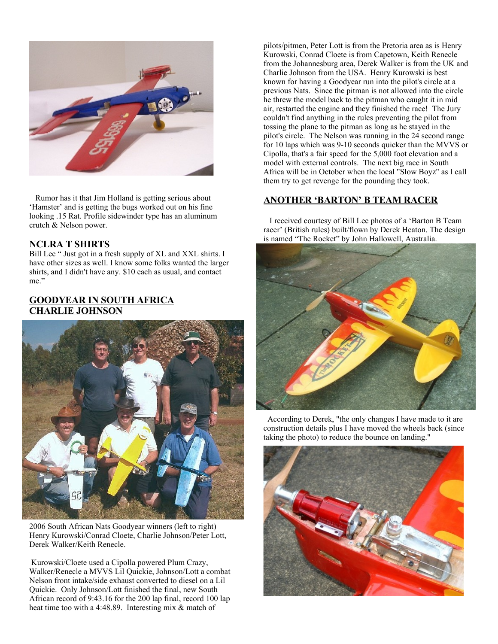

 Rumor has it that Jim Holland is getting serious about 'Hamster' and is getting the bugs worked out on his fine looking .15 Rat. Profile sidewinder type has an aluminum crutch & Nelson power.

# **NCLRA T SHIRTS**

Bill Lee " Just got in a fresh supply of XL and XXL shirts. I have other sizes as well. I know some folks wanted the larger shirts, and I didn't have any. \$10 each as usual, and contact me."

# **GOODYEAR IN SOUTH AFRICA CHARLIE JOHNSON**



2006 South African Nats Goodyear winners (left to right) Henry Kurowski/Conrad Cloete, Charlie Johnson/Peter Lott, Derek Walker/Keith Renecle.

 Kurowski/Cloete used a Cipolla powered Plum Crazy, Walker/Renecle a MVVS Lil Quickie, Johnson/Lott a combat Nelson front intake/side exhaust converted to diesel on a Lil Quickie. Only Johnson/Lott finished the final, new South African record of 9:43.16 for the 200 lap final, record 100 lap heat time too with a 4:48.89. Interesting mix & match of

pilots/pitmen, Peter Lott is from the Pretoria area as is Henry Kurowski, Conrad Cloete is from Capetown, Keith Renecle from the Johannesburg area, Derek Walker is from the UK and Charlie Johnson from the USA. Henry Kurowski is best known for having a Goodyear run into the pilot's circle at a previous Nats. Since the pitman is not allowed into the circle he threw the model back to the pitman who caught it in mid air, restarted the engine and they finished the race! The Jury couldn't find anything in the rules preventing the pilot from tossing the plane to the pitman as long as he stayed in the pilot's circle. The Nelson was running in the 24 second range for 10 laps which was 9-10 seconds quicker than the MVVS or Cipolla, that's a fair speed for the 5,000 foot elevation and a model with external controls. The next big race in South Africa will be in October when the local "Slow Boyz" as I call them try to get revenge for the pounding they took.

# **ANOTHER 'BARTON' B TEAM RACER**

 I received courtesy of Bill Lee photos of a 'Barton B Team racer' (British rules) built/flown by Derek Heaton. The design is named "The Rocket" by John Hallowell, Australia.



 According to Derek, "the only changes I have made to it are construction details plus I have moved the wheels back (since taking the photo) to reduce the bounce on landing."

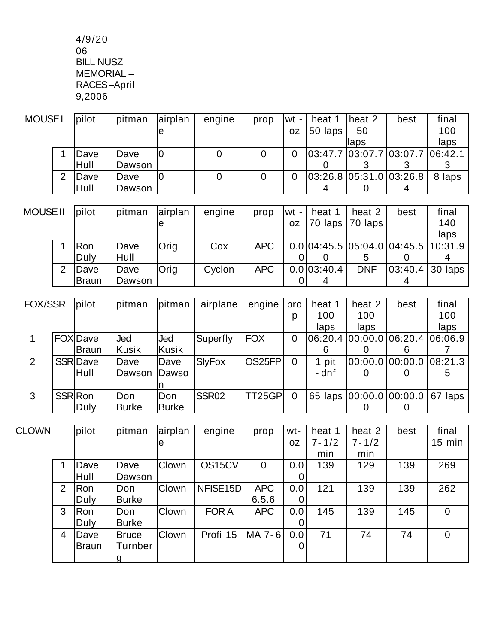4/9/20 06 BILL NUSZ MEMORIAL – RACES–April 9,2006

| MOUSE I |   | <i>pilot</i> | pitman      | <b>airplan</b> | engine | prop | lwt - | heat 1  | heat 2                  | best                               | final  |
|---------|---|--------------|-------------|----------------|--------|------|-------|---------|-------------------------|------------------------------------|--------|
|         |   |              |             | ıe             |        |      | 0Z    | 50 laps | 50                      |                                    | 100    |
|         |   |              |             |                |        |      |       |         | llaps                   |                                    | laps   |
|         |   | Dave         | Dave        |                |        | 0    |       |         |                         | 03:47.7  03:07.7  03:07.7  06:42.1 |        |
|         |   | <b>Hull</b>  | Dawson      |                |        |      |       |         |                         |                                    |        |
|         | 2 | Dave         | <b>Dave</b> | 10             |        | 0    |       |         | 03:26.8 05:31.0 03:26.8 |                                    | 8 laps |
|         |   | Hull         | Dawson      |                |        |      |       |         |                         | 4                                  |        |

| MOUSE II |   | lpilot       | <i>s</i> itman | <b>airplan</b> | engine | prop       | lwt - I | heat 1            | heat 2     | best | final                               |
|----------|---|--------------|----------------|----------------|--------|------------|---------|-------------------|------------|------|-------------------------------------|
|          |   |              |                | ıe             |        |            | OZ.     | 70 laps   70 laps |            |      | 140                                 |
|          |   |              |                |                |        |            |         |                   |            |      | laps                                |
|          |   | Ron          | Dave           | Orig           | Cox    | <b>APC</b> |         |                   |            |      | 0.0 04:45.5 05:04.0 04:45.5 10:31.9 |
|          |   | Duly         | Hull           |                |        |            |         |                   |            |      |                                     |
|          | 2 | Dave         | Dave           | <b>Orig</b>    | Cyclon | <b>APC</b> |         | 0.0 03:40.4       | <b>DNF</b> |      | $ 03:40.4 30$ laps                  |
|          |   | <b>Braun</b> | Dawson_        |                |        |            |         | 4                 |            |      |                                     |

| FOX/SSR |                | pilot          | pitman       | lpitman      | airplane      | engine     | pro            | heat 1 | heat 2 | best                            | final                              |
|---------|----------------|----------------|--------------|--------------|---------------|------------|----------------|--------|--------|---------------------------------|------------------------------------|
|         |                |                |              |              |               |            | D              | 100    | 100    |                                 | 100                                |
|         |                |                |              |              |               |            |                | laps   | laps   |                                 | laps                               |
|         |                | <b>FOXDave</b> | Jed          | Jed          | Superfly      | <b>FOX</b> | $\overline{0}$ |        |        |                                 | 06:20.4  00:00.0  06:20.4  06:06.9 |
|         |                | <b>Braun</b>   | Kusik        | Kusik        |               |            |                | 6      |        |                                 |                                    |
| 2       |                | SSR Dave       | Dave         | Dave         | <b>SlyFox</b> | OS25FP     | 0              | 1 pit  |        | 00:00.0 00:00.0 08:21.3         |                                    |
|         |                | Hull           | Dawson       | Dawso        |               |            |                | - dnf  |        | O)                              | 5                                  |
|         |                |                |              |              |               |            |                |        |        |                                 |                                    |
| 3       | <b>SSR Ron</b> |                | Don          | Don          | SSR02         | TT25GPI    | 0              |        |        | 65 laps 00:00.0 00:00.0 67 laps |                                    |
|         |                | Duly           | <b>Burke</b> | <b>Burke</b> |               |            |                |        |        |                                 |                                    |

| <b>CLOWN</b> |   | pilot | pitman       | airplan      | engine   | prop           | wt- | heat 1    | heat 2    | best | final            |
|--------------|---|-------|--------------|--------------|----------|----------------|-----|-----------|-----------|------|------------------|
|              |   |       |              | le           |          |                | 0Z  | $7 - 1/2$ | $7 - 1/2$ |      | $15 \text{ min}$ |
|              |   |       |              |              |          |                |     | min       | min       |      |                  |
|              |   | Dave  | Dave         | <b>Clown</b> | OS15CV   | $\overline{0}$ | 0.0 | 139       | 129       | 139  | 269              |
|              |   | Hull  | Dawson       |              |          |                |     |           |           |      |                  |
|              | 2 | Ron   | Don          | <b>Clown</b> | NFISE15D | <b>APC</b>     | 0.0 | 121       | 139       | 139  | 262              |
|              |   | Duly  | <b>Burke</b> |              |          | 6.5.6          |     |           |           |      |                  |
|              | 3 | Ron   | Don          | <b>Clown</b> | FOR A    | <b>APC</b>     | 0.0 | 145       | 139       | 145  | $\mathbf 0$      |
|              |   | Duly  | <b>Burke</b> |              |          |                |     |           |           |      |                  |
|              | 4 | Dave  | <b>Bruce</b> | Clown        | Profi 15 | MA 7-6         | 0.0 | 71        | 74        | 74   | $\overline{0}$   |
|              |   | Braun | Turnber      |              |          |                | 0   |           |           |      |                  |
|              |   |       |              |              |          |                |     |           |           |      |                  |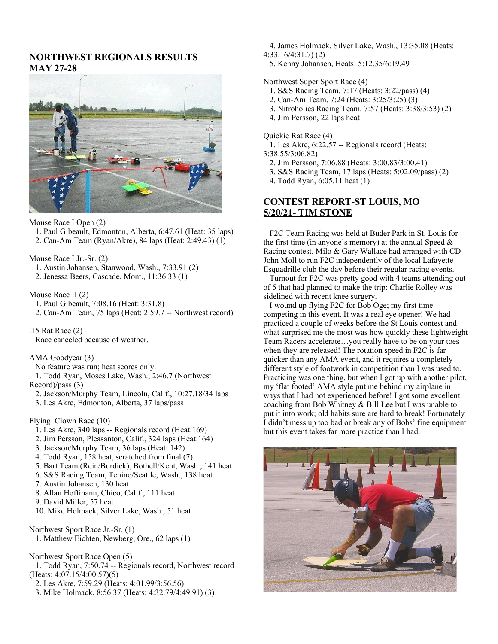# **NORTHWEST REGIONALS RESULTS MAY 27-28**



Mouse Race I Open (2)

- 1. Paul Gibeault, Edmonton, Alberta, 6:47.61 (Heat: 35 laps)
- 2. Can-Am Team (Ryan/Akre), 84 laps (Heat: 2:49.43) (1)

Mouse Race I Jr.-Sr. (2)

- 1. Austin Johansen, Stanwood, Wash., 7:33.91 (2)
- 2. Jenessa Beers, Cascade, Mont., 11:36.33 (1)

Mouse Race II (2)

- 1. Paul Gibeault, 7:08.16 (Heat: 3:31.8)
- 2. Can-Am Team, 75 laps (Heat: 2:59.7 -- Northwest record)

.15 Rat Race (2) Race canceled because of weather.

AMA Goodyear (3)

No feature was run; heat scores only.

 1. Todd Ryan, Moses Lake, Wash., 2:46.7 (Northwest Record)/pass (3)

- 2. Jackson/Murphy Team, Lincoln, Calif., 10:27.18/34 laps
- 3. Les Akre, Edmonton, Alberta, 37 laps/pass

Flying Clown Race (10)

- 1. Les Akre, 340 laps -- Regionals record (Heat:169)
- 2. Jim Persson, Pleasanton, Calif., 324 laps (Heat:164)
- 3. Jackson/Murphy Team, 36 laps (Heat: 142)
- 4. Todd Ryan, 158 heat, scratched from final (7)
- 5. Bart Team (Rein/Burdick), Bothell/Kent, Wash., 141 heat
- 6. S&S Racing Team, Tenino/Seattle, Wash., 138 heat
- 7. Austin Johansen, 130 heat
- 8. Allan Hoffmann, Chico, Calif., 111 heat
- 9. David Miller, 57 heat
- 10. Mike Holmack, Silver Lake, Wash., 51 heat

Northwest Sport Race Jr.-Sr. (1)

1. Matthew Eichten, Newberg, Ore., 62 laps (1)

Northwest Sport Race Open (5)

- 1. Todd Ryan, 7:50.74 -- Regionals record, Northwest record (Heats: 4:07.15/4:00.57)(5)
- 2. Les Akre, 7:59.29 (Heats: 4:01.99/3:56.56)
- 3. Mike Holmack, 8:56.37 (Heats: 4:32.79/4:49.91) (3)

4. James Holmack, Silver Lake, Wash., 13:35.08 (Heats:

- 4:33.16/4:31.7) (2)
- 5. Kenny Johansen, Heats: 5:12.35/6:19.49

Northwest Super Sport Race (4)

- 1. S&S Racing Team, 7:17 (Heats: 3:22/pass) (4)
- 2. Can-Am Team, 7:24 (Heats: 3:25/3:25) (3)
- 3. Nitroholics Racing Team, 7:57 (Heats: 3:38/3:53) (2)
- 4. Jim Persson, 22 laps heat

Quickie Rat Race (4)

- 1. Les Akre, 6:22.57 -- Regionals record (Heats:
- 3:38.55/3:06.82)
	- 2. Jim Persson, 7:06.88 (Heats: 3:00.83/3:00.41)
	- 3. S&S Racing Team, 17 laps (Heats: 5:02.09/pass) (2)
	- 4. Todd Ryan, 6:05.11 heat (1)

# **CONTEST REPORT-ST LOUIS, MO 5/20/21- TIM STONE**

 F2C Team Racing was held at Buder Park in St. Louis for the first time (in anyone's memory) at the annual Speed  $\&$ Racing contest. Milo & Gary Wallace had arranged with CD John Moll to run F2C independently of the local Lafayette Esquadrille club the day before their regular racing events.

 Turnout for F2C was pretty good with 4 teams attending out of 5 that had planned to make the trip: Charlie Rolley was sidelined with recent knee surgery.

 I wound up flying F2C for Bob Oge; my first time competing in this event. It was a real eye opener! We had practiced a couple of weeks before the St Louis contest and what surprised me the most was how quickly these lightweight Team Racers accelerate…you really have to be on your toes when they are released! The rotation speed in F2C is far quicker than any AMA event, and it requires a completely different style of footwork in competition than I was used to. Practicing was one thing, but when I got up with another pilot, my 'flat footed' AMA style put me behind my airplane in ways that I had not experienced before! I got some excellent coaching from Bob Whitney & Bill Lee but I was unable to put it into work; old habits sure are hard to break! Fortunately I didn't mess up too bad or break any of Bobs' fine equipment but this event takes far more practice than I had.

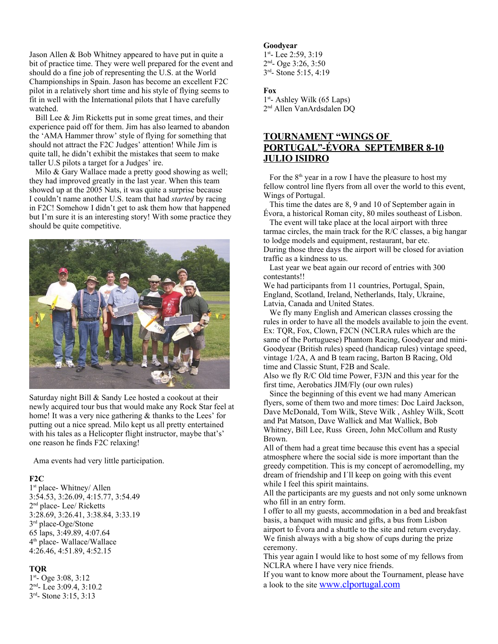Jason Allen & Bob Whitney appeared to have put in quite a bit of practice time. They were well prepared for the event and should do a fine job of representing the U.S. at the World Championships in Spain. Jason has become an excellent F2C pilot in a relatively short time and his style of flying seems to fit in well with the International pilots that I have carefully watched.

Bill Lee & Jim Ricketts put in some great times, and their experience paid off for them. Jim has also learned to abandon the 'AMA Hammer throw' style of flying for something that should not attract the F2C Judges' attention! While Jim is quite tall, he didn't exhibit the mistakes that seem to make taller U.S pilots a target for a Judges' ire.

Milo & Gary Wallace made a pretty good showing as well; they had improved greatly in the last year. When this team showed up at the 2005 Nats, it was quite a surprise because I couldn't name another U.S. team that had *started* by racing in F2C! Somehow I didn't get to ask them how that happened but I'm sure it is an interesting story! With some practice they should be quite competitive.



Saturday night Bill & Sandy Lee hosted a cookout at their newly acquired tour bus that would make any Rock Star feel at home! It was a very nice gathering & thanks to the Lees' for putting out a nice spread. Milo kept us all pretty entertained with his tales as a Helicopter flight instructor, maybe that's' one reason he finds F2C relaxing!

Ama events had very little participation.

#### **F2C**

1 st place- Whitney/ Allen 3:54.53, 3:26.09, 4:15.77, 3:54.49 2<sup>nd</sup> place- Lee/ Ricketts 3:28.69, 3:26.41, 3:38.84, 3:33.19 3<sup>rd</sup> place-Oge/Stone 65 laps, 3:49.89, 4:07.64 4 th place- Wallace/Wallace 4:26.46, 4:51.89, 4:52.15

#### **TQR**

1 st - Oge 3:08, 3:12 2<sup>nd</sup>- Lee 3:09.4, 3:10.2 3<sup>rd</sup>- Stone 3:15, 3:13

#### **Goodyear**

1st-Lee 2:59, 3:19 2<sup>nd</sup>- Oge 3:26, 3:50 3<sup>rd</sup>- Stone 5:15, 4:19

#### **Fox**

1<sup>st</sup>- Ashley Wilk (65 Laps) 2 nd Allen VanArdsdalen DQ

# **TOURNAMENT "WINGS OF PORTUGAL"-ÉVORA SEPTEMBER 8-10 JULIO ISIDRO**

For the  $8<sup>th</sup>$  year in a row I have the pleasure to host my fellow control line flyers from all over the world to this event, Wings of Portugal.

 This time the dates are 8, 9 and 10 of September again in Évora, a historical Roman city, 80 miles southeast of Lisbon.

 The event will take place at the local airport with three tarmac circles, the main track for the R/C classes, a big hangar to lodge models and equipment, restaurant, bar etc. During those three days the airport will be closed for aviation traffic as a kindness to us.

 Last year we beat again our record of entries with 300 contestants!!

We had participants from 11 countries, Portugal, Spain, England, Scotland, Ireland, Netherlands, Italy, Ukraine, Latvia, Canada and United States.

 We fly many English and American classes crossing the rules in order to have all the models available to join the event. Ex: TQR, Fox, Clown, F2CN (NCLRA rules which are the same of the Portuguese) Phantom Racing, Goodyear and mini-Goodyear (British rules) speed (handicap rules) vintage speed, vintage 1/2A, A and B team racing, Barton B Racing, Old time and Classic Stunt, F2B and Scale.

Also we fly R/C Old time Power, F3JN and this year for the first time, Aerobatics JIM/Fly (our own rules)

 Since the beginning of this event we had many American flyers, some of them two and more times: Doc Laird Jackson, Dave McDonald, Tom Wilk, Steve Wilk , Ashley Wilk, Scott and Pat Matson, Dave Wallick and Mat Wallick, Bob Whitney, Bill Lee, Russ Green, John McCollum and Rusty Brown.

All of them had a great time because this event has a special atmosphere where the social side is more important than the greedy competition. This is my concept of aeromodelling, my dream of friendship and I´ll keep on going with this event while I feel this spirit maintains.

All the participants are my guests and not only some unknown who fill in an entry form.

I offer to all my guests, accommodation in a bed and breakfast basis, a banquet with music and gifts, a bus from Lisbon airport to Évora and a shuttle to the site and return everyday. We finish always with a big show of cups during the prize ceremony.

This year again I would like to host some of my fellows from NCLRA where I have very nice friends.

If you want to know more about the Tournament, please have a look to the site [www.clportugal.com](http://www.clportugal.com/)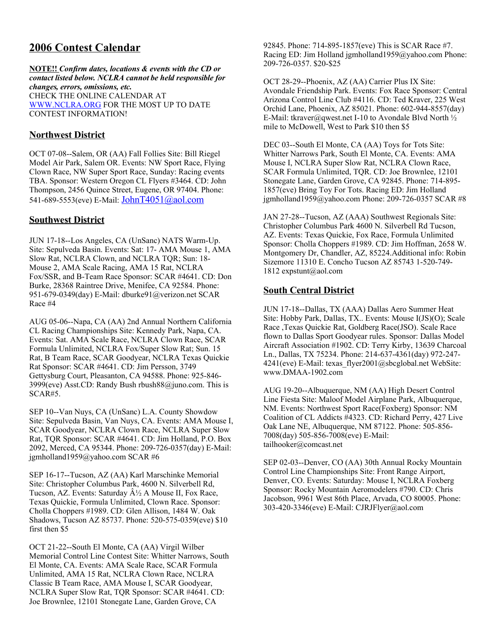# **2006 Contest Calendar**

**NOTE!!** *Confirm dates, locations & events with the CD or contact listed below. NCLRA cannot be held responsible for changes, errors, omissions, etc.* CHECK THE ONLINE CALENDAR AT [WWW.NCLRA.ORG](http://WWW.NCLRA.ORG/) FOR THE MOST UP TO DATE CONTEST INFORMATION!

# **Northwest District**

OCT 07-08--Salem, OR (AA) Fall Follies Site: Bill Riegel Model Air Park, Salem OR. Events: NW Sport Race, Flying Clown Race, NW Super Sport Race, Sunday: Racing events TBA. Sponsor: Western Oregon CL Flyers #3464. CD: John Thompson, 2456 Quince Street, Eugene, OR 97404. Phone: 541-689-5553(eve) E-Mail: [JohnT4051@aol.com](mailto:JohnT4051@aol.com)

# **Southwest District**

JUN 17-18--Los Angeles, CA (UnSanc) NATS Warm-Up. Site: Sepulveda Basin. Events: Sat: 17- AMA Mouse 1, AMA Slow Rat, NCLRA Clown, and NCLRA TQR; Sun: 18- Mouse 2, AMA Scale Racing, AMA 15 Rat, NCLRA Fox/SSR, and B-Team Race Sponsor: SCAR #4641. CD: Don Burke, 28368 Raintree Drive, Menifee, CA 92584. Phone: 951-679-0349(day) E-Mail: dburke91@verizon.net SCAR Race #4

AUG 05-06--Napa, CA (AA) 2nd Annual Northern California CL Racing Championships Site: Kennedy Park, Napa, CA. Events: Sat. AMA Scale Race, NCLRA Clown Race, SCAR Formula Unlimited, NCLRA Fox/Super Slow Rat; Sun. 15 Rat, B Team Race, SCAR Goodyear, NCLRA Texas Quickie Rat Sponsor: SCAR #4641. CD: Jim Persson, 3749 Gettysburg Court, Pleasanton, CA 94588. Phone: 925-846- 3999(eve) Asst.CD: Randy Bush rbush88@juno.com. This is SCAR#5.

SEP 10--Van Nuys, CA (UnSanc) L.A. County Showdow Site: Sepulveda Basin, Van Nuys, CA. Events: AMA Mouse I, SCAR Goodyear, NCLRA Clown Race, NCLRA Super Slow Rat, TQR Sponsor: SCAR #4641. CD: Jim Holland, P.O. Box 2092, Merced, CA 95344. Phone: 209-726-0357(day) E-Mail: jgmholland1959@yahoo.com SCAR #6

SEP 16-17--Tucson, AZ (AA) Karl Marschinke Memorial Site: Christopher Columbus Park, 4600 N. Silverbell Rd, Tucson, AZ. Events: Saturday  $A\frac{1}{2}A$  Mouse II, Fox Race, Texas Quickie, Formula Unlimited, Clown Race. Sponsor: Cholla Choppers #1989. CD: Glen Allison, 1484 W. Oak Shadows, Tucson AZ 85737. Phone: 520-575-0359(eve) \$10 first then \$5

OCT 21-22--South El Monte, CA (AA) Virgil Wilber Memorial Control Line Contest Site: Whitter Narrows, South El Monte, CA. Events: AMA Scale Race, SCAR Formula Unlimited, AMA 15 Rat, NCLRA Clown Race, NCLRA Classic B Team Race, AMA Mouse I, SCAR Goodyear, NCLRA Super Slow Rat, TQR Sponsor: SCAR #4641. CD: Joe Brownlee, 12101 Stonegate Lane, Garden Grove, CA

92845. Phone: 714-895-1857(eve) This is SCAR Race #7. Racing ED: Jim Holland jgmholland1959@yahoo.com Phone: 209-726-0357. \$20-\$25

OCT 28-29--Phoenix, AZ (AA) Carrier Plus IX Site: Avondale Friendship Park. Events: Fox Race Sponsor: Central Arizona Control Line Club #4116. CD: Ted Kraver, 225 West Orchid Lane, Phoenix, AZ 85021. Phone: 602-944-8557(day) E-Mail: tkraver@qwest.net I-10 to Avondale Blvd North  $\frac{1}{2}$ mile to McDowell, West to Park \$10 then \$5

DEC 03--South El Monte, CA (AA) Toys for Tots Site: Whitter Narrows Park, South El Monte, CA. Events: AMA Mouse I, NCLRA Super Slow Rat, NCLRA Clown Race, SCAR Formula Unlimited, TQR. CD: Joe Brownlee, 12101 Stonegate Lane, Garden Grove, CA 92845. Phone: 714-895- 1857(eve) Bring Toy For Tots. Racing ED: Jim Holland jgmholland1959@yahoo.com Phone: 209-726-0357 SCAR #8

JAN 27-28--Tucson, AZ (AAA) Southwest Regionals Site: Christopher Columbus Park 4600 N. Silverbell Rd Tucson, AZ. Events: Texas Quickie, Fox Race, Formula Unlimited Sponsor: Cholla Choppers #1989. CD: Jim Hoffman, 2658 W. Montgomery Dr, Chandler, AZ, 85224.Additional info: Robin Sizemore 11310 E. Concho Tucson AZ 85743 1-520-749- 1812 expstunt@aol.com

# **South Central District**

JUN 17-18--Dallas, TX (AAA) Dallas Aero Summer Heat Site: Hobby Park, Dallas, TX.. Events: Mouse I(JS)(O); Scale Race ,Texas Quickie Rat, Goldberg Race(JSO). Scale Race flown to Dallas Sport Goodyear rules. Sponsor: Dallas Model Aircraft Association #1902. CD: Terry Kirby, 13639 Charcoal Ln., Dallas, TX 75234. Phone: 214-637-4361(day) 972-247- 4241(eve) E-Mail: texas flyer2001@sbcglobal.net WebSite: www.DMAA-1902.com

AUG 19-20--Albuquerque, NM (AA) High Desert Control Line Fiesta Site: Maloof Model Airplane Park, Albuquerque, NM. Events: Northwest Sport Race(Foxberg) Sponsor: NM Coalition of CL Addicts #4323. CD: Richard Perry, 427 Live Oak Lane NE, Albuquerque, NM 87122. Phone: 505-856- 7008(day) 505-856-7008(eve) E-Mail: tailhooker@comcast.net

SEP 02-03--Denver, CO (AA) 30th Annual Rocky Mountain Control Line Championships Site: Front Range Airport, Denver, CO. Events: Saturday: Mouse I, NCLRA Foxberg Sponsor: Rocky Mountain Aeromodelers #790. CD: Chris Jacobson, 9961 West 86th Place, Arvada, CO 80005. Phone: 303-420-3346(eve) E-Mail: CJRJFlyer@aol.com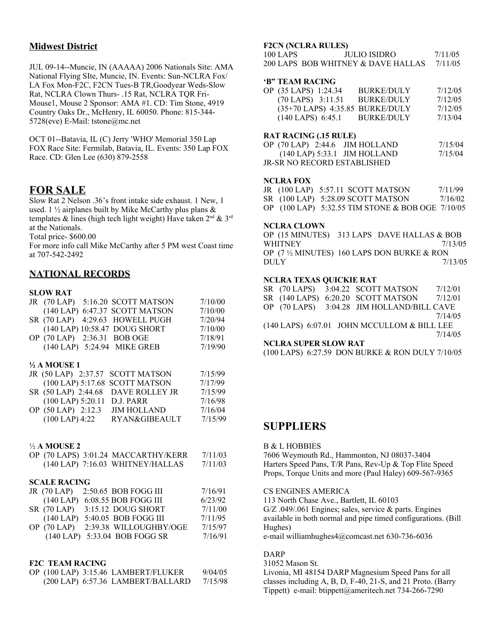# **Midwest District**

JUL 09-14--Muncie, IN (AAAAA) 2006 Nationals Site: AMA National Flying SIte, Muncie, IN. Events: Sun-NCLRA Fox/ LA Fox Mon-F2C, F2CN Tues-B TR,Goodyear Weds-Slow Rat, NCLRA Clown Thurs- .15 Rat, NCLRA TQR Fri-Mouse1, Mouse 2 Sponsor: AMA #1. CD: Tim Stone, 4919 Country Oaks Dr., McHenry, IL 60050. Phone: 815-344- 5728(eve) E-Mail: tstone@mc.net

OCT 01--Batavia, IL (C) Jerry 'WHO' Memorial 350 Lap FOX Race Site: Fermilab, Batavia, IL. Events: 350 Lap FOX Race. CD: Glen Lee (630) 879-2558

# **FOR SALE**

Slow Rat 2 Nelson .36's front intake side exhaust. 1 New, 1 used. 1  $\frac{1}{2}$  airplanes built by Mike McCarthy plus plans & templates & lines (high tech light weight) Have taken  $2<sup>nd</sup>$  &  $3<sup>rd</sup>$ at the Nationals.

Total price- \$600.00

For more info call Mike McCarthy after 5 PM west Coast time at 707-542-2492

# **NATIONAL RECORDS**

#### **SLOW RAT**

|  | JR (70 LAP) 5:16.20 SCOTT MATSON | 7/10/00 |
|--|----------------------------------|---------|
|  | (140 LAP) 6:47.37 SCOTT MATSON   | 7/10/00 |
|  | SR (70 LAP) 4:29.63 HOWELL PUGH  | 7/20/94 |
|  | (140 LAP) 10:58.47 DOUG SHORT    | 7/10/00 |
|  | OP (70 LAP) 2:36.31 BOB OGE      | 7/18/91 |
|  | (140 LAP) 5:24.94 MIKE GREB      | 7/19/90 |

#### **½ A MOUSE 1**

| JR (50 LAP) 2:37.57 SCOTT MATSON |                                    | 7/15/99 |
|----------------------------------|------------------------------------|---------|
|                                  | (100 LAP) 5:17.68 SCOTT MATSON     | 7/17/99 |
|                                  | SR (50 LAP) 2:44.68 DAVE ROLLEY JR | 7/15/99 |
| (100 LAP) 5:20.11 D.J. PARR      |                                    | 7/16/98 |
| OP (50 LAP) 2:12.3               | <b>JIM HOLLAND</b>                 | 7/16/04 |
| $(100$ LAP) 4:22                 | RYAN&GIBEAULT                      | 7/15/99 |

#### ½ **A MOUSE 2**

|  | OP (70 LAPS) 3:01.24 MACCARTHY/KERR  | 7/11/03 |
|--|--------------------------------------|---------|
|  | $(140$ LAP) $7:16.03$ WHITNEY/HALLAS | 7/11/03 |

#### **SCALE RACING**

|             | JR (70 LAP) 2:50.65 BOB FOGG III   | 7/16/91 |
|-------------|------------------------------------|---------|
|             | (140 LAP) 6:08.55 BOB FOGG III     | 6/23/92 |
|             | SR (70 LAP) 3:15.12 DOUG SHORT     | 7/11/00 |
| $(140$ LAP) | 5:40.05 BOB FOGG III               | 7/11/95 |
|             | OP (70 LAP) 2:39.38 WILLOUGHBY/OGE | 7/15/97 |
|             | (140 LAP) 5:33.04 BOB FOGG SR      | 7/16/91 |

#### **F2C TEAM RACING**

|  | OP (100 LAP) 3:15.46 LAMBERT/FLUKER | 9/04/05 |
|--|-------------------------------------|---------|
|  | (200 LAP) 6:57.36 LAMBERT/BALLARD   | 7/15/98 |

#### **F2CN (NCLRA RULES)**

| 100 LAPS | JULIO ISIDRO                       | 7/11/05 |
|----------|------------------------------------|---------|
|          | 200 LAPS BOB WHITNEY & DAVE HALLAS | 7/11/05 |

#### **'B" TEAM RACING**

| OP (35 LAPS) 1:24.34            | <b>BURKE/DULY</b> | 7/12/05 |
|---------------------------------|-------------------|---------|
| $(70$ LAPS $)$ 3:11.51          | <b>BURKE/DULY</b> | 7/12/05 |
| (35+70 LAPS) 4:35.85 BURKE/DULY |                   | 7/12/05 |
| $(140$ LAPS $)$ 6:45.1          | BURKE/DULY        | 7/13/04 |

#### **RAT RACING (.15 RULE)**

| OP $(70$ LAP) 2:44.6 JIM HOLLAND | 7/15/04 |
|----------------------------------|---------|
| $(140$ LAP) 5:33.1 JIM HOLLAND   | 7/15/04 |
| JR-SR NO RECORD ESTABLISHED      |         |

#### **NCLRA FOX**

|  | JR $(100$ LAP $)$ 5:57.11 SCOTT MATSON           | 7/11/99 |
|--|--------------------------------------------------|---------|
|  | SR (100 LAP) 5:28.09 SCOTT MATSON                | 7/16/02 |
|  | OP (100 LAP) 5:32.55 TIM STONE & BOB OGE 7/10/05 |         |

#### **NCLRA CLOWN**

OP (15 MINUTES) 313 LAPS DAVE HALLAS & BOB WHITNEY 2/13/05 OP (7 ½ MINUTES) 160 LAPS DON BURKE & RON DULY 7/13/05

#### **NCLRA TEXAS QUICKIE RAT**

SR (70 LAPS) 3:04.22 SCOTT MATSON 7/12/01 SR (140 LAPS) 6:20.20 SCOTT MATSON 7/12/01 OP (70 LAPS) 3:04.28 JIM HOLLAND/BILL CAVE 7/14/05 (140 LAPS) 6:07.01 JOHN MCCULLOM & BILL LEE 7/14/05 **NCLRA SUPER SLOW RAT** (100 LAPS) 6:27.59 DON BURKE & RON DULY 7/10/05

# **SUPPLIERS**

#### B & L HOBBIES

7606 Weymouth Rd., Hammonton, NJ 08037-3404 Harters Speed Pans, T/R Pans, Rev-Up & Top Flite Speed Props, Torque Units and more (Paul Haley) 609-567-9365

CS ENGINES AMERICA 113 North Chase Ave., Bartlett, IL 60103 G/Z .049/.061 Engines; sales, service & parts. Engines available in both normal and pipe timed configurations. (Bill Hughes)

### e-mail williamhughes4@comcast.net 630-736-6036

# DARP

31052 Mason St. Livonia, MI 48154 DARP Magnesium Speed Pans for all classes including A, B, D, F-40, 21-S, and 21 Proto. (Barry Tippett) e-mail: btippett@ameritech.net 734-266-7290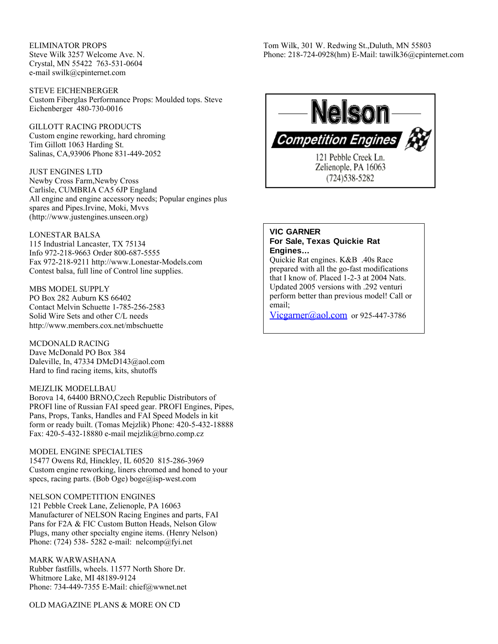ELIMINATOR PROPS Steve Wilk 3257 Welcome Ave. N. Crystal, MN 55422 763-531-0604 e-mail swilk@cpinternet.com

STEVE EICHENBERGER Custom Fiberglas Performance Props: Moulded tops. Steve Eichenberger 480-730-0016

GILLOTT RACING PRODUCTS Custom engine reworking, hard chroming Tim Gillott 1063 Harding St. Salinas, CA,93906 Phone 831-449-2052

JUST ENGINES LTD Newby Cross Farm,Newby Cross Carlisle, CUMBRIA CA5 6JP England All engine and engine accessory needs; Popular engines plus spares and Pipes.Irvine, Moki, Mvvs (http://www.justengines.unseen.org)

LONESTAR BALSA 115 Industrial Lancaster, TX 75134 Info 972-218-9663 Order 800-687-5555 Fax 972-218-9211 http://www.Lonestar-Models.com Contest balsa, full line of Control line supplies.

MBS MODEL SUPPLY PO Box 282 Auburn KS 66402 Contact Melvin Schuette 1-785-256-2583 Solid Wire Sets and other C/L needs http://www.members.cox.net/mbschuette

MCDONALD RACING Dave McDonald PO Box 384 Daleville, In, 47334 DMcD143@aol.com Hard to find racing items, kits, shutoffs

#### MEJZLIK MODELLBAU

Borova 14, 64400 BRNO,Czech Republic Distributors of PROFI line of Russian FAI speed gear. PROFI Engines, Pipes, Pans, Props, Tanks, Handles and FAI Speed Models in kit form or ready built. (Tomas Mejzlik) Phone: 420-5-432-18888 Fax: 420-5-432-18880 e-mail mejzlik@brno.comp.cz

MODEL ENGINE SPECIALTIES 15477 Owens Rd, Hinckley, IL 60520 815-286-3969 Custom engine reworking, liners chromed and honed to your specs, racing parts. (Bob Oge) boge@isp-west.com

NELSON COMPETITION ENGINES 121 Pebble Creek Lane, Zelienople, PA 16063 Manufacturer of NELSON Racing Engines and parts, FAI Pans for F2A & FIC Custom Button Heads, Nelson Glow Plugs, many other specialty engine items. (Henry Nelson) Phone: (724) 538- 5282 e-mail: nelcomp@fyi.net

MARK WARWASHANA Rubber fastfills, wheels. 11577 North Shore Dr. Whitmore Lake, MI 48189-9124 Phone: 734-449-7355 E-Mail: chief@wwnet.net

OLD MAGAZINE PLANS & MORE ON CD

Tom Wilk, 301 W. Redwing St.,Duluth, MN 55803 Phone: 218-724-0928(hm) E-Mail: tawilk36@cpinternet.com



# **VIC GARNER For Sale, Texas Quickie Rat Engines…**

Quickie Rat engines. K&B .40s Race prepared with all the go-fast modifications that I know of. Placed 1-2-3 at 2004 Nats. Updated 2005 versions with .292 venturi perform better than previous model! Call or email;

Vicgarner( $a$ ) aol.com or 925-447-3786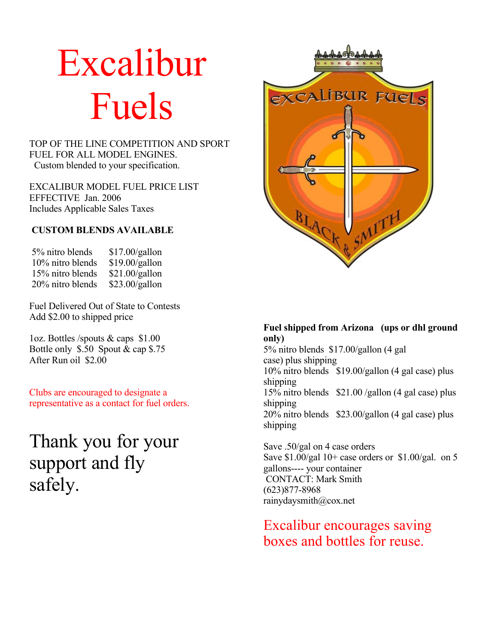# Excalibur Fuels

# TOP OF THE LINE COMPETITION AND SPORT FUEL FOR ALL MODEL ENGINES. Custom blended to your specification.

EXCALIBUR MODEL FUEL PRICE LIST EFFECTIVE Jan. 2006 Includes Applicable Sales Taxes

# **CUSTOM BLENDS AVAILABLE**

| 5% nitro blends  | \$17.00/gallon |
|------------------|----------------|
| 10% nitro blends | \$19.00/gallon |
| 15% nitro blends | \$21.00/gallon |
| 20% nitro blends | \$23.00/gallon |

Fuel Delivered Out of State to Contests Add \$2.00 to shipped price

1oz. Bottles /spouts & caps \$1.00 Bottle only \$.50 Spout & cap \$.75 After Run oil \$2.00

Clubs are encouraged to designate a representative as a contact for fuel orders.

Thank you for your support and fly safely.



# **Fuel shipped from Arizona (ups or dhl ground only)** 5% nitro blends \$17.00/gallon (4 gal

case) plus shipping 10% nitro blends \$19.00/gallon (4 gal case) plus shipping 15% nitro blends \$21.00 /gallon (4 gal case) plus shipping 20% nitro blends \$23.00/gallon (4 gal case) plus shipping

Save .50/gal on 4 case orders Save  $$1.00/gal$  10+ case orders or  $$1.00/gal$ . on 5 gallons---- your container CONTACT: Mark Smith (623)877-8968 rainydaysmith@cox.net

Excalibur encourages saving boxes and bottles for reuse.